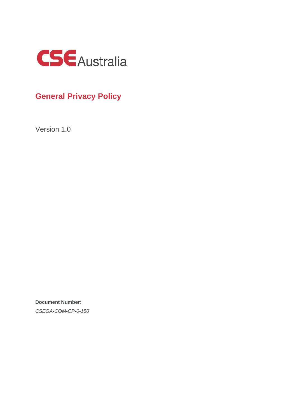

# **General Privacy Policy**

Version 1.0

**Document Number:** *CSEGA-COM-CP-0-150*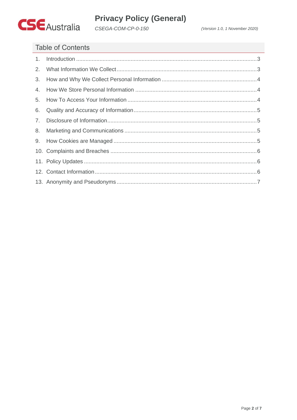

# **Privacy Policy (General)**

CSEGA-COM-CP-0-150

# **Table of Contents**

| 2.           |  |
|--------------|--|
| 3.           |  |
| 4.           |  |
| 5.           |  |
| 6.           |  |
| $7_{\ldots}$ |  |
| 8.           |  |
|              |  |
|              |  |
|              |  |
|              |  |
|              |  |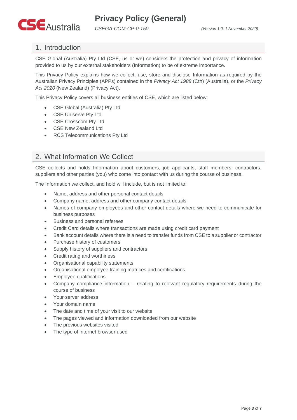

#### <span id="page-2-0"></span>1. Introduction

CSE Global (Australia) Pty Ltd (CSE, us or we) considers the protection and privacy of information provided to us by our external stakeholders (Information) to be of extreme importance.

This Privacy Policy explains how we collect, use, store and disclose Information as required by the Australian Privacy Principles (APPs) contained in the *Privacy Act 1988* (Cth) (Australia), or the *Privacy Act 2020* (New Zealand) (Privacy Act).

This Privacy Policy covers all business entities of CSE, which are listed below:

- CSE Global (Australia) Pty Ltd
- CSE Uniserve Pty Ltd
- CSE Crosscom Pty Ltd
- CSE New Zealand Ltd
- RCS Telecommunications Pty Ltd

### <span id="page-2-1"></span>2. What Information We Collect

CSE collects and holds Information about customers, job applicants, staff members, contractors, suppliers and other parties (you) who come into contact with us during the course of business.

The Information we collect, and hold will include, but is not limited to:

- Name, address and other personal contact details
- Company name, address and other company contact details
- Names of company employees and other contact details where we need to communicate for business purposes
- Business and personal referees
- Credit Card details where transactions are made using credit card payment
- Bank account details where there is a need to transfer funds from CSE to a supplier or contractor
- Purchase history of customers
- Supply history of suppliers and contractors
- Credit rating and worthiness
- Organisational capability statements
- Organisational employee training matrices and certifications
- Employee qualifications
- Company compliance information relating to relevant regulatory requirements during the course of business
- Your server address
- Your domain name
- The date and time of your visit to our website
- The pages viewed and information downloaded from our website
- The previous websites visited
- The type of internet browser used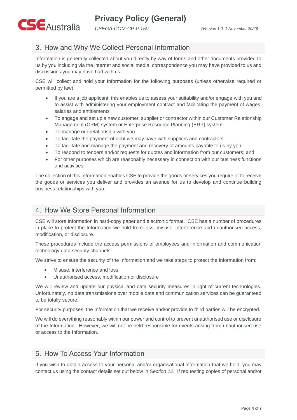

## <span id="page-3-0"></span>3. How and Why We Collect Personal Information

Information is generally collected about you directly by way of forms and other documents provided to us by you including via the internet and social media, correspondence you may have provided to us and discussions you may have had with us.

CSE will collect and hold your Information for the following purposes (unless otherwise required or permitted by law):

- If you are a job applicant, this enables us to assess your suitability and/or engage with you and to assist with administering your employment contract and facilitating the payment of wages, salaries and entitlements
- To engage and set up a new customer, supplier or contractor within our Customer Relationship Management (CRM) system or Enterprise Resource Planning (ERP) system;
- To manage our relationship with you
- To facilitate the payment of debt we may have with suppliers and contractors
- To facilitate and manage the payment and recovery of amounts payable to us by you
- To respond to tenders and/or requests for quotes and information from our customers; and
- For other purposes which are reasonably necessary in connection with our business functions and activities

The collection of this Information enables CSE to provide the goods or services you require or to receive the goods or services you deliver and provides an avenue for us to develop and continue building business relationships with you.

### <span id="page-3-1"></span>4. How We Store Personal Information

CSE will store Information in hard-copy paper and electronic format. CSE has a number of procedures in place to protect the Information we hold from loss, misuse, interference and unauthorised access, modification, or disclosure.

These procedures include the access permissions of employees and information and communication technology data security channels.

We strive to ensure the security of the Information and we take steps to protect the Information from:

- Misuse, interference and loss
- Unauthorised access, modification or disclosure

We will review and update our physical and data security measures in light of current technologies. Unfortunately, no data transmissions over mobile data and communication services can be guaranteed to be totally secure.

For security purposes, the Information that we receive and/or provide to third parties will be encrypted.

We will do everything reasonably within our power and control to prevent unauthorised use or disclosure of the Information. However, we will not be held responsible for events arising from unauthorised use or access to the Information.

#### <span id="page-3-2"></span>5. How To Access Your Information

If you wish to obtain access to your personal and/or organisational information that we hold, you may contact us using the contact details set out below in *Section 12*. If requesting copies of personal and/or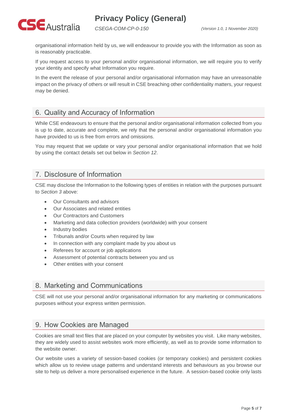**Privacy Policy (General)**



*CSEGA-COM-CP-0-150 (Version 1.0, 1 November 2020)*

organisational information held by us, we will endeavour to provide you with the Information as soon as is reasonably practicable.

If you request access to your personal and/or organisational information, we will require you to verify your identity and specify what Information you require.

In the event the release of your personal and/or organisational information may have an unreasonable impact on the privacy of others or will result in CSE breaching other confidentiality matters, your request may be denied.

## <span id="page-4-0"></span>6. Quality and Accuracy of Information

While CSE endeavours to ensure that the personal and/or organisational information collected from you is up to date, accurate and complete, we rely that the personal and/or organisational information you have provided to us is free from errors and omissions.

You may request that we update or vary your personal and/or organisational information that we hold by using the contact details set out below in *Section 12*.

#### <span id="page-4-1"></span>7. Disclosure of Information

CSE may disclose the Information to the following types of entities in relation with the purposes pursuant to *Section 3* above:

- Our Consultants and advisors
- Our Associates and related entities
- Our Contractors and Customers
- Marketing and data collection providers (worldwide) with your consent
- Industry bodies
- Tribunals and/or Courts when required by law
- In connection with any complaint made by you about us
- Referees for account or job applications
- Assessment of potential contracts between you and us
- Other entities with your consent

#### <span id="page-4-2"></span>8. Marketing and Communications

CSE will not use your personal and/or organisational information for any marketing or communications purposes without your express written permission.

#### <span id="page-4-3"></span>9. How Cookies are Managed

Cookies are small text files that are placed on your computer by websites you visit. Like many websites, they are widely used to assist websites work more efficiently, as well as to provide some information to the website owner.

Our website uses a variety of session-based cookies (or temporary cookies) and persistent cookies which allow us to review usage patterns and understand interests and behaviours as you browse our site to help us deliver a more personalised experience in the future. A session-based cookie only lasts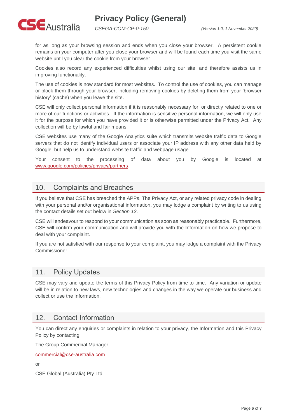# **Privacy Policy (General)**



*CSEGA-COM-CP-0-150 (Version 1.0, 1 November 2020)*

for as long as your browsing session and ends when you close your browser. A persistent cookie remains on your computer after you close your browser and will be found each time you visit the same website until you clear the cookie from your browser.

Cookies also record any experienced difficulties whilst using our site, and therefore assists us in improving functionality.

The use of cookies is now standard for most websites. To control the use of cookies, you can manage or block them through your browser, including removing cookies by deleting them from your 'browser history' (cache) when you leave the site.

CSE will only collect personal information if it is reasonably necessary for, or directly related to one or more of our functions or activities. If the information is sensitive personal information, we will only use it for the purpose for which you have provided it or is otherwise permitted under the Privacy Act. Any collection will be by lawful and fair means.

CSE websites use many of the Google Analytics suite which transmits website traffic data to Google servers that do not identify individual users or associate your IP address with any other data held by Google, but help us to understand website traffic and webpage usage.

Your consent to the processing of data about you by Google is located at [www.google.com/policies/privacy/partners.](http://www.google.com/policies/privacy/partners)

#### <span id="page-5-0"></span>10. Complaints and Breaches

If you believe that CSE has breached the APPs, The Privacy Act, or any related privacy code in dealing with your personal and/or organisational information, you may lodge a complaint by writing to us using the contact details set out below in *Section 12*.

CSE will endeavour to respond to your communication as soon as reasonably practicable. Furthermore, CSE will confirm your communication and will provide you with the Information on how we propose to deal with your complaint.

If you are not satisfied with our response to your complaint, you may lodge a complaint with the Privacy Commissioner.

#### <span id="page-5-1"></span>11. Policy Updates

CSE may vary and update the terms of this Privacy Policy from time to time. Any variation or update will be in relation to new laws, new technologies and changes in the way we operate our business and collect or use the Information.

#### <span id="page-5-2"></span>12. Contact Information

You can direct any enquiries or complaints in relation to your privacy, the Information and this Privacy Policy by contacting:

The Group Commercial Manager

[commercial@cse-australia.com](mailto:commercial@cse-australia.com)

or

CSE Global (Australia) Pty Ltd